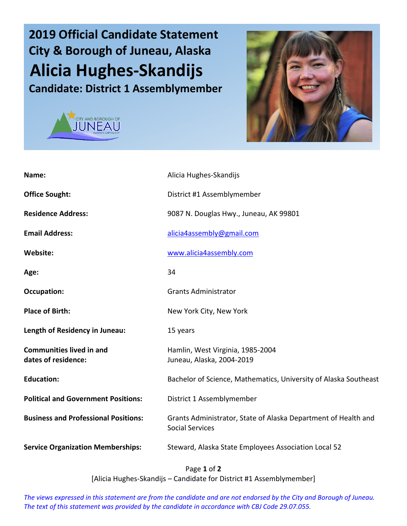## **2019 Official Candidate Statement City & Borough of Juneau, Alaska Alicia Hughes-Skandijs Candidate: District 1 Assemblymember**





| Name:                                                  | Alicia Hughes-Skandijs                                                                   |
|--------------------------------------------------------|------------------------------------------------------------------------------------------|
| <b>Office Sought:</b>                                  | District #1 Assemblymember                                                               |
| <b>Residence Address:</b>                              | 9087 N. Douglas Hwy., Juneau, AK 99801                                                   |
| <b>Email Address:</b>                                  | alicia4assembly@gmail.com                                                                |
| <b>Website:</b>                                        | www.alicia4assembly.com                                                                  |
| Age:                                                   | 34                                                                                       |
| <b>Occupation:</b>                                     | <b>Grants Administrator</b>                                                              |
| <b>Place of Birth:</b>                                 | New York City, New York                                                                  |
| Length of Residency in Juneau:                         | 15 years                                                                                 |
| <b>Communities lived in and</b><br>dates of residence: | Hamlin, West Virginia, 1985-2004<br>Juneau, Alaska, 2004-2019                            |
| <b>Education:</b>                                      | Bachelor of Science, Mathematics, University of Alaska Southeast                         |
| <b>Political and Government Positions:</b>             | District 1 Assemblymember                                                                |
| <b>Business and Professional Positions:</b>            | Grants Administrator, State of Alaska Department of Health and<br><b>Social Services</b> |
| <b>Service Organization Memberships:</b>               | Steward, Alaska State Employees Association Local 52                                     |

Page **1** of **2** [Alicia Hughes-Skandijs – Candidate for District #1 Assemblymember]

*The views expressed in this statement are from the candidate and are not endorsed by the City and Borough of Juneau. The text of this statement was provided by the candidate in accordance with CBJ Code 29.07.055.*